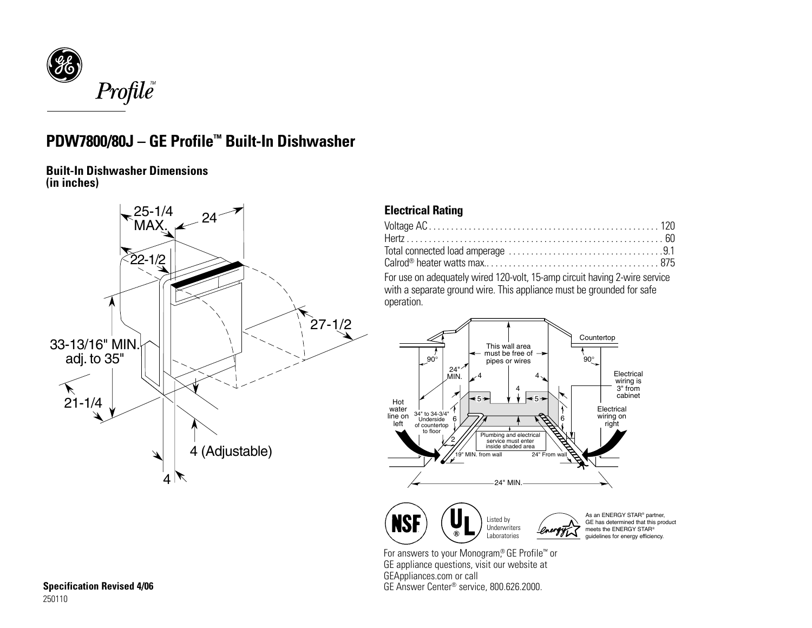

## **PDW7800/80J – GE Profile™ Built-In Dishwasher**

**Built-In Dishwasher Dimensions (in inches)**



## **Electrical Rating**

| For use on adequately wired 120-volt, 15-amp circuit having 2-wire service |  |
|----------------------------------------------------------------------------|--|

with a separate ground wire. This appliance must be grounded for safe operation.



For answers to your Monogram,<sup>®</sup> GE Profile™ or GE appliance questions, visit our website at GEAppliances.com or call GE Answer Center® service, 800.626.2000.

As an ENERGY STAR® partner, GE has determined that this product meets the ENERGY STAR® guidelines for energy efficiency.